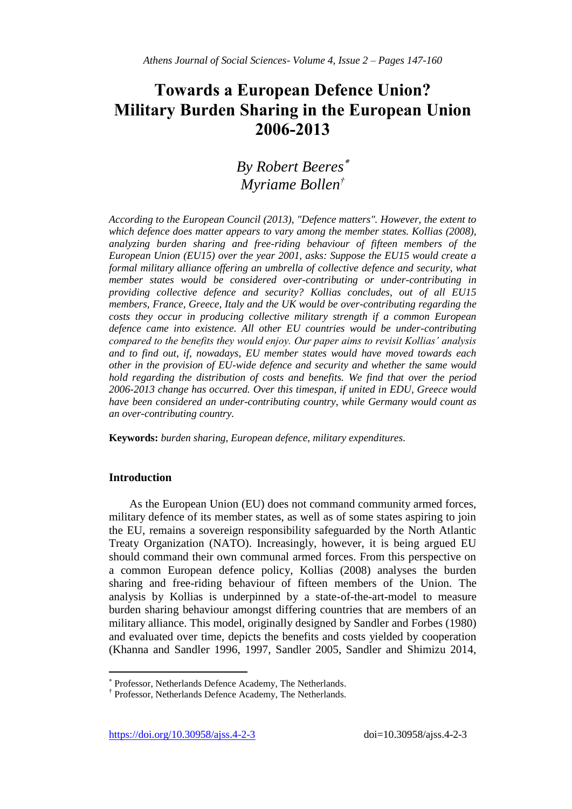# **Towards a European Defence Union? Military Burden Sharing in the European Union 2006-2013**

# *By Robert Beeres Myriame Bollen†*

*According to the European Council (2013), "Defence matters". However, the extent to which defence does matter appears to vary among the member states. Kollias (2008), analyzing burden sharing and free-riding behaviour of fifteen members of the European Union (EU15) over the year 2001, asks: Suppose the EU15 would create a formal military alliance offering an umbrella of collective defence and security, what member states would be considered over-contributing or under-contributing in providing collective defence and security? Kollias concludes, out of all EU15 members, France, Greece, Italy and the UK would be over-contributing regarding the costs they occur in producing collective military strength if a common European defence came into existence. All other EU countries would be under-contributing compared to the benefits they would enjoy. Our paper aims to revisit Kollias' analysis and to find out, if, nowadays, EU member states would have moved towards each other in the provision of EU-wide defence and security and whether the same would hold regarding the distribution of costs and benefits. We find that over the period 2006-2013 change has occurred. Over this timespan, if united in EDU, Greece would have been considered an under-contributing country, while Germany would count as an over-contributing country.*

**Keywords:** *burden sharing, European defence, military expenditures.*

### **Introduction**

 $\overline{\phantom{a}}$ 

As the European Union (EU) does not command community armed forces, military defence of its member states, as well as of some states aspiring to join the EU, remains a sovereign responsibility safeguarded by the North Atlantic Treaty Organization (NATO). Increasingly, however, it is being argued EU should command their own communal armed forces. From this perspective on a common European defence policy, Kollias (2008) analyses the burden sharing and free-riding behaviour of fifteen members of the Union. The analysis by Kollias is underpinned by a state-of-the-art-model to measure burden sharing behaviour amongst differing countries that are members of an military alliance. This model, originally designed by Sandler and Forbes (1980) and evaluated over time, depicts the benefits and costs yielded by cooperation (Khanna and Sandler 1996, 1997, Sandler 2005, Sandler and Shimizu 2014,

Professor, Netherlands Defence Academy, The Netherlands.

<sup>†</sup> Professor, Netherlands Defence Academy, The Netherlands.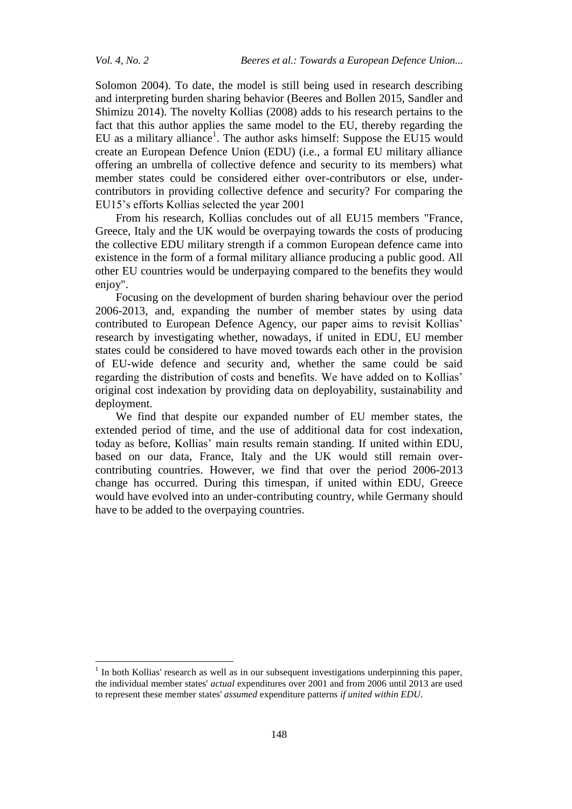Solomon 2004). To date, the model is still being used in research describing and interpreting burden sharing behavior (Beeres and Bollen 2015, Sandler and Shimizu 2014). The novelty Kollias (2008) adds to his research pertains to the fact that this author applies the same model to the EU, thereby regarding the EU as a military alliance<sup>1</sup>. The author asks himself: Suppose the EU15 would create an European Defence Union (EDU) (i.e., a formal EU military alliance offering an umbrella of collective defence and security to its members) what member states could be considered either over-contributors or else, undercontributors in providing collective defence and security? For comparing the EU15's efforts Kollias selected the year 2001

From his research, Kollias concludes out of all EU15 members "France, Greece, Italy and the UK would be overpaying towards the costs of producing the collective EDU military strength if a common European defence came into existence in the form of a formal military alliance producing a public good. All other EU countries would be underpaying compared to the benefits they would enjoy".

Focusing on the development of burden sharing behaviour over the period 2006-2013, and, expanding the number of member states by using data contributed to European Defence Agency, our paper aims to revisit Kollias' research by investigating whether, nowadays, if united in EDU, EU member states could be considered to have moved towards each other in the provision of EU-wide defence and security and, whether the same could be said regarding the distribution of costs and benefits. We have added on to Kollias' original cost indexation by providing data on deployability, sustainability and deployment.

We find that despite our expanded number of EU member states, the extended period of time, and the use of additional data for cost indexation, today as before, Kollias' main results remain standing. If united within EDU, based on our data, France, Italy and the UK would still remain overcontributing countries. However, we find that over the period 2006-2013 change has occurred. During this timespan, if united within EDU, Greece would have evolved into an under-contributing country, while Germany should have to be added to the overpaying countries.

 1 In both Kollias' research as well as in our subsequent investigations underpinning this paper, the individual member states' *actual* expenditures over 2001 and from 2006 until 2013 are used to represent these member states' *assumed* expenditure patterns *if united within EDU*.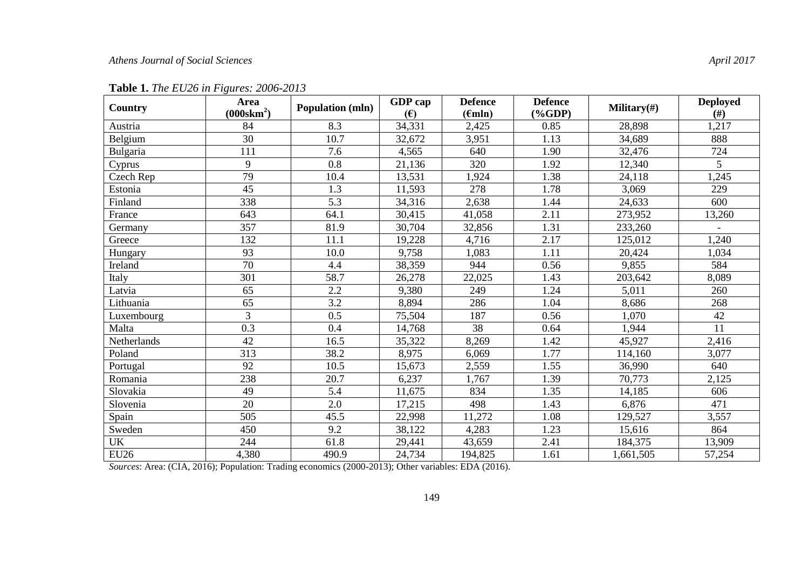| Country     | Area<br>$(000$ skm <sup>2</sup> ) | <b>Population (mln)</b> | GDP cap<br>(E) | <b>Defence</b><br>$(\epsilon mln)$ | <b>Defence</b><br>$(\%GDP)$ | Military $(\#)$ | <b>Deployed</b><br>(f#) |
|-------------|-----------------------------------|-------------------------|----------------|------------------------------------|-----------------------------|-----------------|-------------------------|
| Austria     | 84                                | 8.3                     | 34,331         | 2,425                              | 0.85                        | 28,898          | 1,217                   |
| Belgium     | 30                                | 10.7                    | 32,672         | 3,951                              | 1.13                        | 34,689          | 888                     |
| Bulgaria    | 111                               | 7.6                     | 4,565          | 640                                | 1.90                        | 32,476          | 724                     |
| Cyprus      | 9                                 | 0.8                     | 21,136         | 320                                | 1.92                        | 12,340          | 5                       |
| Czech Rep   | 79                                | 10.4                    | 13,531         | 1,924                              | 1.38                        | 24,118          | 1,245                   |
| Estonia     | 45                                | 1.3                     | 11,593         | 278                                | 1.78                        | 3,069           | 229                     |
| Finland     | 338                               | 5.3                     | 34,316         | 2,638                              | 1.44                        | 24,633          | 600                     |
| France      | 643                               | 64.1                    | 30,415         | 41,058                             | 2.11                        | 273,952         | 13,260                  |
| Germany     | 357                               | 81.9                    | 30,704         | 32,856                             | 1.31                        | 233,260         |                         |
| Greece      | 132                               | 11.1                    | 19,228         | 4,716                              | 2.17                        | 125,012         | 1,240                   |
| Hungary     | 93                                | 10.0                    | 9,758          | 1,083                              | 1.11                        | 20,424          | 1,034                   |
| Ireland     | $\overline{70}$                   | 4.4                     | 38,359         | 944                                | 0.56                        | 9,855           | 584                     |
| Italy       | 301                               | 58.7                    | 26,278         | 22,025                             | 1.43                        | 203,642         | 8,089                   |
| Latvia      | 65                                | 2.2                     | 9,380          | 249                                | 1.24                        | 5,011           | 260                     |
| Lithuania   | 65                                | 3.2                     | 8,894          | 286                                | 1.04                        | 8,686           | 268                     |
| Luxembourg  | $\overline{3}$                    | 0.5                     | 75,504         | 187                                | 0.56                        | 1,070           | 42                      |
| Malta       | 0.3                               | 0.4                     | 14,768         | 38                                 | 0.64                        | 1,944           | 11                      |
| Netherlands | 42                                | 16.5                    | 35,322         | 8,269                              | 1.42                        | 45,927          | 2,416                   |
| Poland      | 313                               | 38.2                    | 8,975          | 6,069                              | 1.77                        | 114,160         | 3,077                   |
| Portugal    | 92                                | 10.5                    | 15,673         | 2,559                              | 1.55                        | 36,990          | 640                     |
| Romania     | 238                               | 20.7                    | 6,237          | 1,767                              | 1.39                        | 70,773          | 2,125                   |
| Slovakia    | 49                                | $\overline{5.4}$        | 11,675         | 834                                | 1.35                        | 14,185          | 606                     |
| Slovenia    | 20                                | 2.0                     | 17,215         | 498                                | 1.43                        | 6,876           | 471                     |
| Spain       | 505                               | 45.5                    | 22,998         | 11,272                             | 1.08                        | 129,527         | 3,557                   |
| Sweden      | 450                               | 9.2                     | 38,122         | 4,283                              | 1.23                        | 15,616          | 864                     |
| UK          | 244                               | 61.8                    | 29,441         | 43,659                             | 2.41                        | 184,375         | 13,909                  |
| <b>EU26</b> | 4,380                             | 490.9                   | 24,734         | 194,825                            | 1.61                        | 1,661,505       | 57,254                  |

**Table 1.** *The EU26 in Figures: 2006-2013*

*Sources*: Area: (CIA, 2016); Population: Trading economics (2000-2013); Other variables: EDA (2016).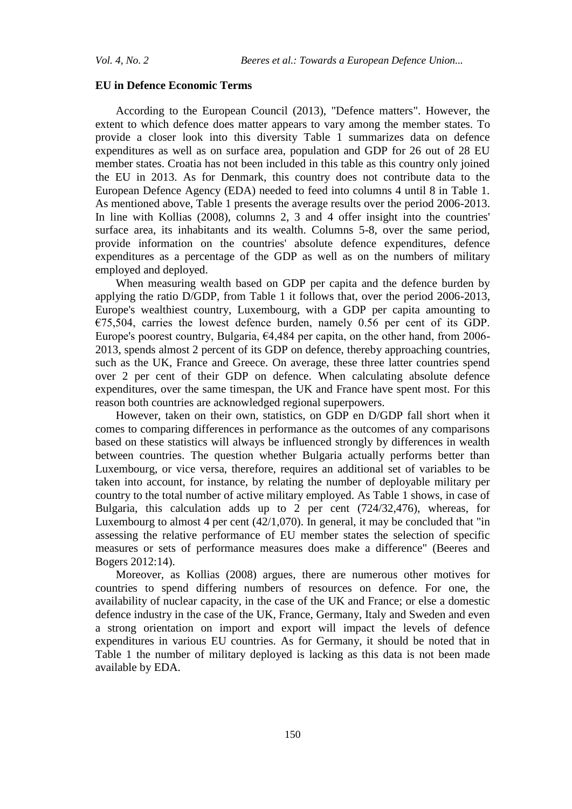#### **EU in Defence Economic Terms**

According to the European Council (2013), "Defence matters". However, the extent to which defence does matter appears to vary among the member states. To provide a closer look into this diversity Table 1 summarizes data on defence expenditures as well as on surface area, population and GDP for 26 out of 28 EU member states. Croatia has not been included in this table as this country only joined the EU in 2013. As for Denmark, this country does not contribute data to the European Defence Agency (EDA) needed to feed into columns 4 until 8 in Table 1. As mentioned above, Table 1 presents the average results over the period 2006-2013. In line with Kollias (2008), columns 2, 3 and 4 offer insight into the countries' surface area, its inhabitants and its wealth. Columns 5-8, over the same period, provide information on the countries' absolute defence expenditures, defence expenditures as a percentage of the GDP as well as on the numbers of military employed and deployed.

When measuring wealth based on GDP per capita and the defence burden by applying the ratio D/GDP, from Table 1 it follows that, over the period 2006-2013, Europe's wealthiest country, Luxembourg, with a GDP per capita amounting to  $€75,504$ , carries the lowest defence burden, namely 0.56 per cent of its GDP. Europe's poorest country, Bulgaria, €4,484 per capita, on the other hand, from 2006- 2013, spends almost 2 percent of its GDP on defence, thereby approaching countries, such as the UK, France and Greece. On average, these three latter countries spend over 2 per cent of their GDP on defence. When calculating absolute defence expenditures, over the same timespan, the UK and France have spent most. For this reason both countries are acknowledged regional superpowers.

However, taken on their own, statistics, on GDP en D/GDP fall short when it comes to comparing differences in performance as the outcomes of any comparisons based on these statistics will always be influenced strongly by differences in wealth between countries. The question whether Bulgaria actually performs better than Luxembourg, or vice versa, therefore, requires an additional set of variables to be taken into account, for instance, by relating the number of deployable military per country to the total number of active military employed. As Table 1 shows, in case of Bulgaria, this calculation adds up to 2 per cent (724/32,476), whereas, for Luxembourg to almost 4 per cent (42/1,070). In general, it may be concluded that "in assessing the relative performance of EU member states the selection of specific measures or sets of performance measures does make a difference" (Beeres and Bogers 2012:14).

Moreover, as Kollias (2008) argues, there are numerous other motives for countries to spend differing numbers of resources on defence. For one, the availability of nuclear capacity, in the case of the UK and France; or else a domestic defence industry in the case of the UK, France, Germany, Italy and Sweden and even a strong orientation on import and export will impact the levels of defence expenditures in various EU countries. As for Germany, it should be noted that in Table 1 the number of military deployed is lacking as this data is not been made available by EDA.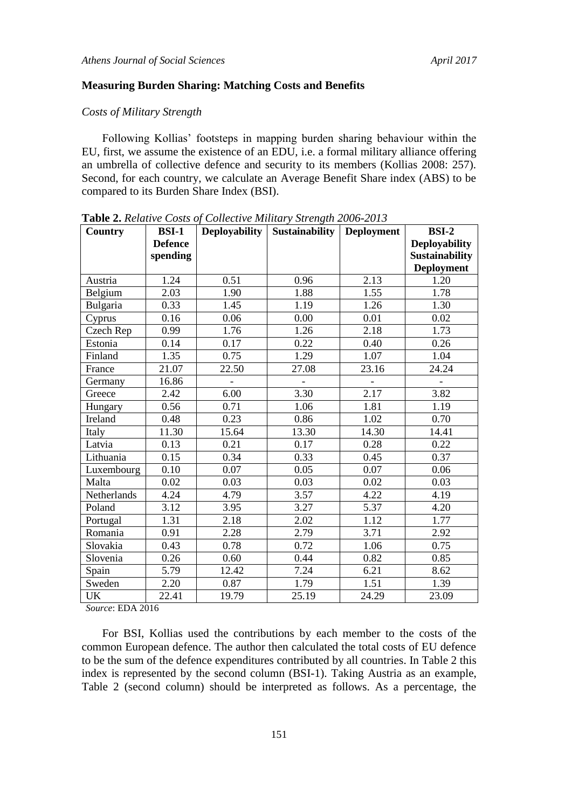## **Measuring Burden Sharing: Matching Costs and Benefits**

### *Costs of Military Strength*

Following Kollias' footsteps in mapping burden sharing behaviour within the EU, first, we assume the existence of an EDU, i.e. a formal military alliance offering an umbrella of collective defence and security to its members (Kollias 2008: 257). Second, for each country, we calculate an Average Benefit Share index (ABS) to be compared to its Burden Share Index (BSI).

| Country     | <b>BSI-1</b>   | <b>Deployability</b> | <b>Sustainability</b> | <b>Deployment</b> | <b>BSI-2</b>          |
|-------------|----------------|----------------------|-----------------------|-------------------|-----------------------|
|             | <b>Defence</b> |                      |                       |                   | <b>Deployability</b>  |
|             | spending       |                      |                       |                   | <b>Sustainability</b> |
|             |                |                      |                       |                   | <b>Deployment</b>     |
| Austria     | 1.24           | 0.51                 | 0.96                  | 2.13              | 1.20                  |
| Belgium     | 2.03           | 1.90                 | 1.88                  | 1.55              | 1.78                  |
| Bulgaria    | 0.33           | 1.45                 | 1.19                  | 1.26              | 1.30                  |
| Cyprus      | 0.16           | 0.06                 | 0.00                  | 0.01              | 0.02                  |
| Czech Rep   | 0.99           | 1.76                 | 1.26                  | 2.18              | 1.73                  |
| Estonia     | 0.14           | 0.17                 | 0.22                  | 0.40              | 0.26                  |
| Finland     | 1.35           | 0.75                 | 1.29                  | 1.07              | 1.04                  |
| France      | 21.07          | 22.50                | 27.08                 | 23.16             | 24.24                 |
| Germany     | 16.86          |                      |                       |                   |                       |
| Greece      | 2.42           | 6.00                 | 3.30                  | 2.17              | 3.82                  |
| Hungary     | 0.56           | 0.71                 | 1.06                  | 1.81              | 1.19                  |
| Ireland     | 0.48           | 0.23                 | 0.86                  | 1.02              | 0.70                  |
| Italy       | 11.30          | 15.64                | 13.30                 | 14.30             | 14.41                 |
| Latvia      | 0.13           | 0.21                 | 0.17                  | 0.28              | 0.22                  |
| Lithuania   | 0.15           | 0.34                 | 0.33                  | 0.45              | 0.37                  |
| Luxembourg  | 0.10           | 0.07                 | 0.05                  | 0.07              | 0.06                  |
| Malta       | 0.02           | 0.03                 | 0.03                  | 0.02              | 0.03                  |
| Netherlands | 4.24           | 4.79                 | 3.57                  | 4.22              | 4.19                  |
| Poland      | 3.12           | 3.95                 | 3.27                  | 5.37              | 4.20                  |
| Portugal    | 1.31           | 2.18                 | 2.02                  | 1.12              | 1.77                  |
| Romania     | 0.91           | 2.28                 | 2.79                  | 3.71              | 2.92                  |
| Slovakia    | 0.43           | 0.78                 | 0.72                  | 1.06              | 0.75                  |
| Slovenia    | 0.26           | 0.60                 | 0.44                  | 0.82              | 0.85                  |
| Spain       | 5.79           | 12.42                | 7.24                  | 6.21              | 8.62                  |
| Sweden      | 2.20           | 0.87                 | 1.79                  | 1.51              | 1.39                  |
| UK          | 22.41          | 19.79                | 25.19                 | 24.29             | 23.09                 |

**Table 2.** *Relative Costs of Collective Military Strength 2006-2013*

*Source*: EDA 2016

For BSI, Kollias used the contributions by each member to the costs of the common European defence. The author then calculated the total costs of EU defence to be the sum of the defence expenditures contributed by all countries. In Table 2 this index is represented by the second column (BSI-1). Taking Austria as an example, Table 2 (second column) should be interpreted as follows. As a percentage, the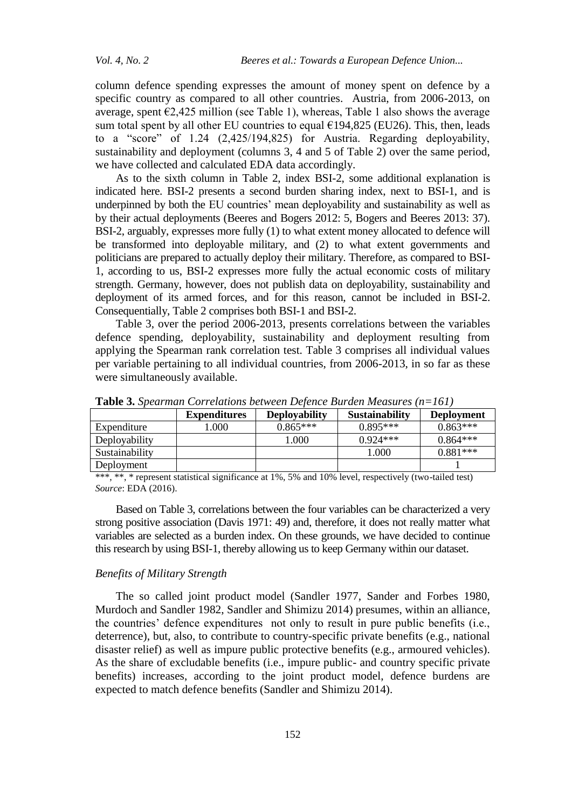column defence spending expresses the amount of money spent on defence by a specific country as compared to all other countries. Austria, from 2006-2013, on average, spent  $\epsilon$ 2,425 million (see Table 1), whereas, Table 1 also shows the average sum total spent by all other EU countries to equal  $£194,825$  (EU26). This, then, leads to a "score" of 1.24 (2,425/194,825) for Austria. Regarding deployability, sustainability and deployment (columns 3, 4 and 5 of Table 2) over the same period, we have collected and calculated EDA data accordingly.

As to the sixth column in Table 2, index BSI-2, some additional explanation is indicated here. BSI-2 presents a second burden sharing index, next to BSI-1, and is underpinned by both the EU countries' mean deployability and sustainability as well as by their actual deployments (Beeres and Bogers 2012: 5, Bogers and Beeres 2013: 37). BSI-2, arguably, expresses more fully (1) to what extent money allocated to defence will be transformed into deployable military, and (2) to what extent governments and politicians are prepared to actually deploy their military. Therefore, as compared to BSI-1, according to us, BSI-2 expresses more fully the actual economic costs of military strength. Germany, however, does not publish data on deployability, sustainability and deployment of its armed forces, and for this reason, cannot be included in BSI-2. Consequentially, Table 2 comprises both BSI-1 and BSI-2.

Table 3, over the period 2006-2013, presents correlations between the variables defence spending, deployability, sustainability and deployment resulting from applying the Spearman rank correlation test. Table 3 comprises all individual values per variable pertaining to all individual countries, from 2006-2013, in so far as these were simultaneously available.

|                | <b>Expenditures</b> | <b>Deployability</b> | <b>Sustainability</b> | <b>Deployment</b> |
|----------------|---------------------|----------------------|-----------------------|-------------------|
| Expenditure    | .000                | $0.865***$           | $0.895***$            | $0.863***$        |
| Deployability  |                     | .000                 | $0.924***$            | $0.864***$        |
| Sustainability |                     |                      | 1.000                 | $0.881***$        |
| Deployment     |                     |                      |                       |                   |

**Table 3.** *Spearman Correlations between Defence Burden Measures (n=161)*

\*\*\*, \*\*, \* represent statistical significance at 1%, 5% and 10% level, respectively (two-tailed test) *Source*: EDA (2016).

Based on Table 3, correlations between the four variables can be characterized a very strong positive association (Davis 1971: 49) and, therefore, it does not really matter what variables are selected as a burden index. On these grounds, we have decided to continue this research by using BSI-1, thereby allowing us to keep Germany within our dataset.

### *Benefits of Military Strength*

The so called joint product model (Sandler 1977, Sander and Forbes 1980, Murdoch and Sandler 1982, Sandler and Shimizu 2014) presumes, within an alliance, the countries' defence expenditures not only to result in pure public benefits (i.e., deterrence), but, also, to contribute to country-specific private benefits (e.g., national disaster relief) as well as impure public protective benefits (e.g., armoured vehicles). As the share of excludable benefits (i.e., impure public- and country specific private benefits) increases, according to the joint product model, defence burdens are expected to match defence benefits (Sandler and Shimizu 2014).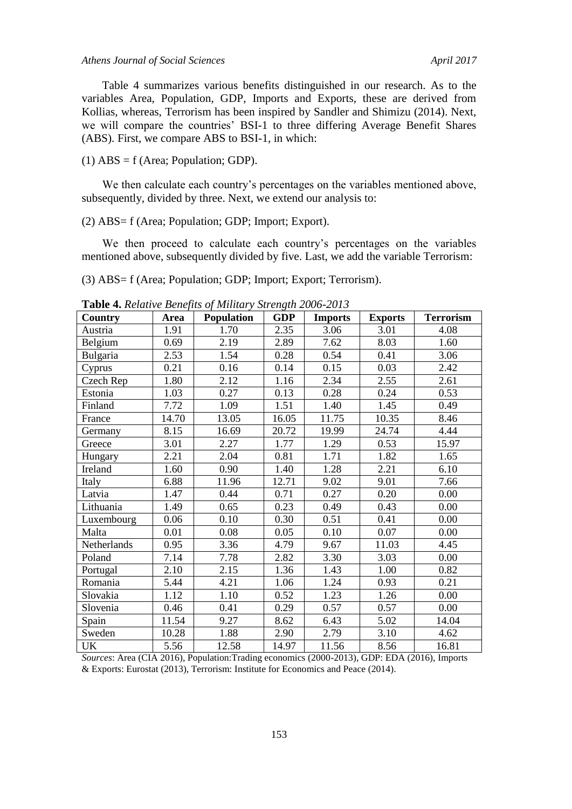#### *Athens Journal of Social Sciences April 2017*

Table 4 summarizes various benefits distinguished in our research. As to the variables Area, Population, GDP, Imports and Exports, these are derived from Kollias, whereas, Terrorism has been inspired by Sandler and Shimizu (2014). Next, we will compare the countries' BSI-1 to three differing Average Benefit Shares (ABS). First, we compare ABS to BSI-1, in which:

(1)  $\text{ABS} = \text{f (Area; Population; GDP)}$ .

We then calculate each country's percentages on the variables mentioned above, subsequently, divided by three. Next, we extend our analysis to:

(2) ABS= f (Area; Population; GDP; Import; Export).

We then proceed to calculate each country's percentages on the variables mentioned above, subsequently divided by five. Last, we add the variable Terrorism:

(3) ABS= f (Area; Population; GDP; Import; Export; Terrorism).

| Country     | Area  | <b>Population</b> | <b>GDP</b> | <b>Imports</b> | <b>Exports</b> | <b>Terrorism</b> |
|-------------|-------|-------------------|------------|----------------|----------------|------------------|
| Austria     | 1.91  | 1.70              | 2.35       | 3.06           | 3.01           | 4.08             |
| Belgium     | 0.69  | 2.19              | 2.89       | 7.62           | 8.03           | 1.60             |
| Bulgaria    | 2.53  | 1.54              | 0.28       | 0.54           | 0.41           | 3.06             |
| Cyprus      | 0.21  | 0.16              | 0.14       | 0.15           | 0.03           | 2.42             |
| Czech Rep   | 1.80  | 2.12              | 1.16       | 2.34           | 2.55           | 2.61             |
| Estonia     | 1.03  | 0.27              | 0.13       | 0.28           | 0.24           | 0.53             |
| Finland     | 7.72  | 1.09              | 1.51       | 1.40           | 1.45           | 0.49             |
| France      | 14.70 | 13.05             | 16.05      | 11.75          | 10.35          | 8.46             |
| Germany     | 8.15  | 16.69             | 20.72      | 19.99          | 24.74          | 4.44             |
| Greece      | 3.01  | 2.27              | 1.77       | 1.29           | 0.53           | 15.97            |
| Hungary     | 2.21  | 2.04              | 0.81       | 1.71           | 1.82           | 1.65             |
| Ireland     | 1.60  | 0.90              | 1.40       | 1.28           | 2.21           | 6.10             |
| Italy       | 6.88  | 11.96             | 12.71      | 9.02           | 9.01           | 7.66             |
| Latvia      | 1.47  | 0.44              | 0.71       | 0.27           | 0.20           | 0.00             |
| Lithuania   | 1.49  | 0.65              | 0.23       | 0.49           | 0.43           | 0.00             |
| Luxembourg  | 0.06  | 0.10              | 0.30       | 0.51           | 0.41           | 0.00             |
| Malta       | 0.01  | 0.08              | 0.05       | 0.10           | 0.07           | 0.00             |
| Netherlands | 0.95  | 3.36              | 4.79       | 9.67           | 11.03          | 4.45             |
| Poland      | 7.14  | 7.78              | 2.82       | 3.30           | 3.03           | 0.00             |
| Portugal    | 2.10  | 2.15              | 1.36       | 1.43           | 1.00           | 0.82             |
| Romania     | 5.44  | 4.21              | 1.06       | 1.24           | 0.93           | 0.21             |
| Slovakia    | 1.12  | 1.10              | 0.52       | 1.23           | 1.26           | 0.00             |
| Slovenia    | 0.46  | 0.41              | 0.29       | 0.57           | 0.57           | 0.00             |
| Spain       | 11.54 | 9.27              | 8.62       | 6.43           | 5.02           | 14.04            |
| Sweden      | 10.28 | 1.88              | 2.90       | 2.79           | 3.10           | 4.62             |
| UK          | 5.56  | 12.58             | 14.97      | 11.56          | 8.56           | 16.81            |

**Table 4.** *Relative Benefits of Military Strength 2006-2013*

*Sources*: Area (CIA 2016), Population:Trading economics (2000-2013), GDP: EDA (2016), Imports & Exports: Eurostat (2013), Terrorism: Institute for Economics and Peace (2014).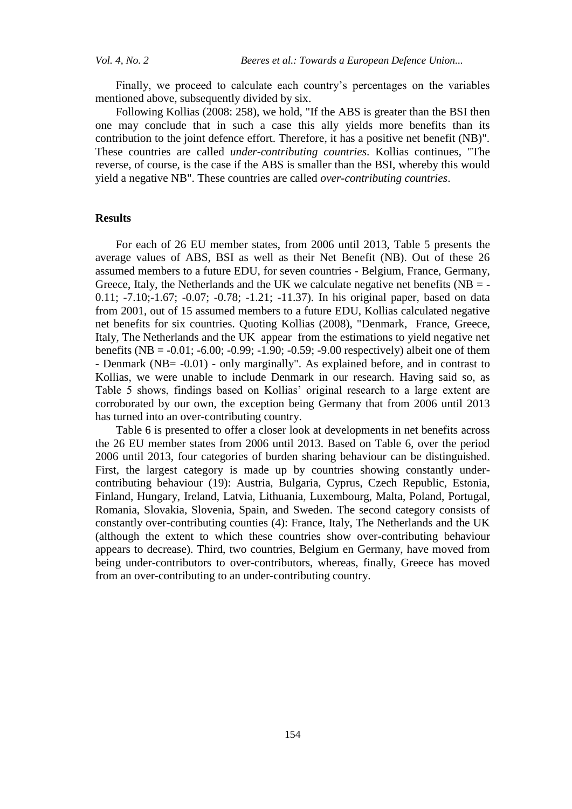Finally, we proceed to calculate each country's percentages on the variables mentioned above, subsequently divided by six.

Following Kollias (2008: 258), we hold, "If the ABS is greater than the BSI then one may conclude that in such a case this ally yields more benefits than its contribution to the joint defence effort. Therefore, it has a positive net benefit (NB)". These countries are called *under-contributing countries*. Kollias continues, "The reverse, of course, is the case if the ABS is smaller than the BSI, whereby this would yield a negative NB". These countries are called *over-contributing countries*.

### **Results**

For each of 26 EU member states, from 2006 until 2013, Table 5 presents the average values of ABS, BSI as well as their Net Benefit (NB). Out of these 26 assumed members to a future EDU, for seven countries - Belgium, France, Germany, Greece, Italy, the Netherlands and the UK we calculate negative net benefits ( $NB = -$ 0.11; -7.10;-1.67; -0.07; -0.78; -1.21; -11.37). In his original paper, based on data from 2001, out of 15 assumed members to a future EDU, Kollias calculated negative net benefits for six countries. Quoting Kollias (2008), "Denmark, France, Greece, Italy, The Netherlands and the UK appear from the estimations to yield negative net benefits (NB = -0.01; -6.00; -0.99; -1.90; -0.59; -9.00 respectively) albeit one of them - Denmark (NB= -0.01) - only marginally". As explained before, and in contrast to Kollias, we were unable to include Denmark in our research. Having said so, as Table 5 shows, findings based on Kollias' original research to a large extent are corroborated by our own, the exception being Germany that from 2006 until 2013 has turned into an over-contributing country.

Table 6 is presented to offer a closer look at developments in net benefits across the 26 EU member states from 2006 until 2013. Based on Table 6, over the period 2006 until 2013, four categories of burden sharing behaviour can be distinguished. First, the largest category is made up by countries showing constantly undercontributing behaviour (19): Austria, Bulgaria, Cyprus, Czech Republic, Estonia, Finland, Hungary, Ireland, Latvia, Lithuania, Luxembourg, Malta, Poland, Portugal, Romania, Slovakia, Slovenia, Spain, and Sweden. The second category consists of constantly over-contributing counties (4): France, Italy, The Netherlands and the UK (although the extent to which these countries show over-contributing behaviour appears to decrease). Third, two countries, Belgium en Germany, have moved from being under-contributors to over-contributors, whereas, finally, Greece has moved from an over-contributing to an under-contributing country.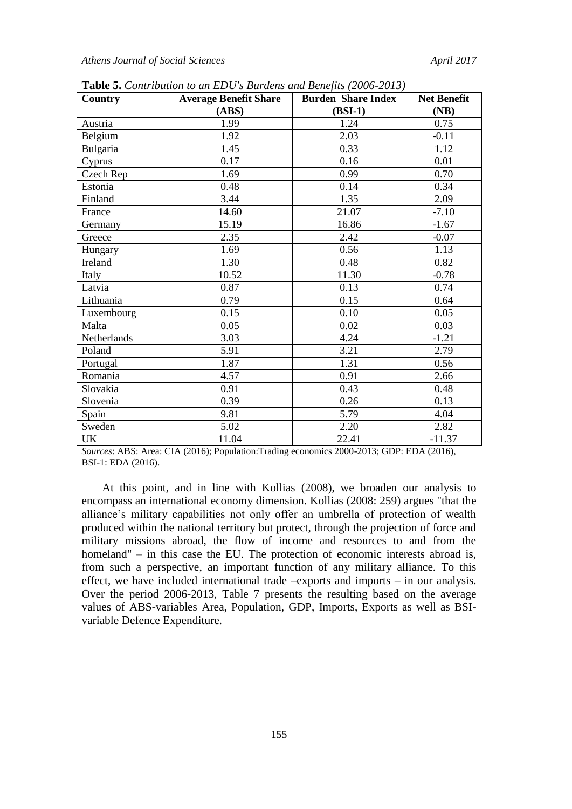| Country     | <b>Average Benefit Share</b> | <b>Burden Share Index</b> | <b>Net Benefit</b> |  |
|-------------|------------------------------|---------------------------|--------------------|--|
|             | (ABS)                        | $(BSI-1)$                 | (NB)               |  |
| Austria     | 1.99                         | 1.24                      | 0.75               |  |
| Belgium     | 1.92                         | 2.03                      | $-0.11$            |  |
| Bulgaria    | 1.45                         | 0.33                      | 1.12               |  |
| Cyprus      | 0.17                         | 0.16                      | 0.01               |  |
| Czech Rep   | 1.69                         | 0.99                      | 0.70               |  |
| Estonia     | 0.48                         | 0.14                      | 0.34               |  |
| Finland     | 3.44                         | 1.35                      | 2.09               |  |
| France      | 14.60                        | 21.07                     | $-7.10$            |  |
| Germany     | 15.19                        | 16.86                     | $-1.67$            |  |
| Greece      | 2.35                         | 2.42                      | $-0.07$            |  |
| Hungary     | 1.69                         | 0.56                      | 1.13               |  |
| Ireland     | 1.30                         | 0.48                      | 0.82               |  |
| Italy       | 10.52                        | 11.30                     | $-0.78$            |  |
| Latvia      | 0.87                         | 0.13                      | 0.74               |  |
| Lithuania   | 0.79                         | 0.15                      | 0.64               |  |
| Luxembourg  | 0.15                         | 0.10                      | 0.05               |  |
| Malta       | 0.05                         | 0.02                      | 0.03               |  |
| Netherlands | 3.03                         | 4.24                      | $-1.21$            |  |
| Poland      | 5.91                         | 3.21                      | 2.79               |  |
| Portugal    | 1.87                         | 1.31                      | 0.56               |  |
| Romania     | 4.57                         | 0.91                      | 2.66               |  |
| Slovakia    | 0.91                         | 0.43                      | 0.48               |  |
| Slovenia    | 0.39                         | 0.26                      | 0.13               |  |
| Spain       | 9.81                         | 5.79                      | 4.04               |  |
| Sweden      | 5.02                         | 2.20                      | 2.82               |  |
| UK          | 11.04                        | 22.41                     | $-11.37$           |  |

**Table 5.** *Contribution to an EDU's Burdens and Benefits (2006-2013)*

*Sources*: ABS: Area: CIA (2016); Population:Trading economics 2000-2013; GDP: EDA (2016), BSI-1: EDA (2016).

At this point, and in line with Kollias (2008), we broaden our analysis to encompass an international economy dimension. Kollias (2008: 259) argues "that the alliance's military capabilities not only offer an umbrella of protection of wealth produced within the national territory but protect, through the projection of force and military missions abroad, the flow of income and resources to and from the homeland" – in this case the EU. The protection of economic interests abroad is, from such a perspective, an important function of any military alliance. To this effect, we have included international trade –exports and imports – in our analysis. Over the period 2006-2013, Table 7 presents the resulting based on the average values of ABS-variables Area, Population, GDP, Imports, Exports as well as BSIvariable Defence Expenditure.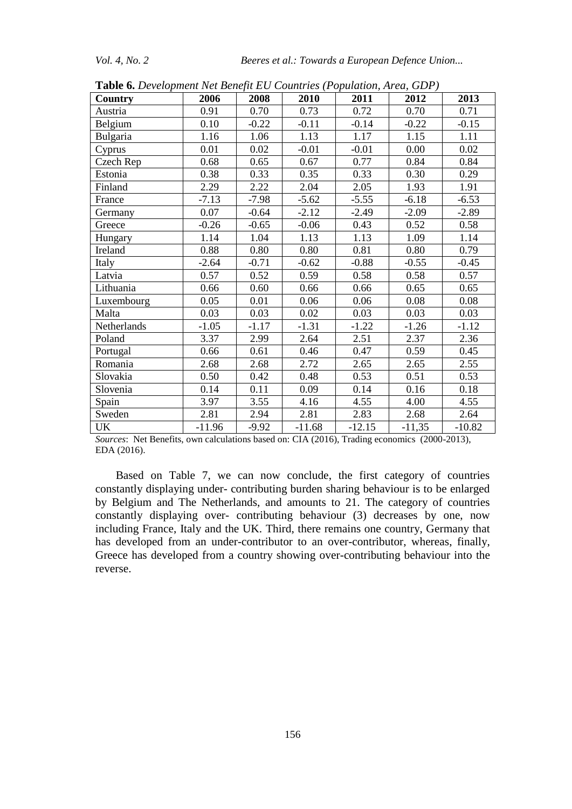| Country     | 2006     | 2008    | 2010     | 2011     | 2012     | 2013     |
|-------------|----------|---------|----------|----------|----------|----------|
| Austria     | 0.91     | 0.70    | 0.73     | 0.72     | 0.70     | 0.71     |
| Belgium     | 0.10     | $-0.22$ | $-0.11$  | $-0.14$  | $-0.22$  | $-0.15$  |
| Bulgaria    | 1.16     | 1.06    | 1.13     | 1.17     | 1.15     | 1.11     |
| Cyprus      | 0.01     | 0.02    | $-0.01$  | $-0.01$  | 0.00     | 0.02     |
| Czech Rep   | 0.68     | 0.65    | 0.67     | 0.77     | 0.84     | 0.84     |
| Estonia     | 0.38     | 0.33    | 0.35     | 0.33     | 0.30     | 0.29     |
| Finland     | 2.29     | 2.22    | 2.04     | 2.05     | 1.93     | 1.91     |
| France      | $-7.13$  | $-7.98$ | $-5.62$  | $-5.55$  | $-6.18$  | $-6.53$  |
| Germany     | 0.07     | $-0.64$ | $-2.12$  | $-2.49$  | $-2.09$  | $-2.89$  |
| Greece      | $-0.26$  | $-0.65$ | $-0.06$  | 0.43     | 0.52     | 0.58     |
| Hungary     | 1.14     | 1.04    | 1.13     | 1.13     | 1.09     | 1.14     |
| Ireland     | 0.88     | 0.80    | 0.80     | 0.81     | 0.80     | 0.79     |
| Italy       | $-2.64$  | $-0.71$ | $-0.62$  | $-0.88$  | $-0.55$  | $-0.45$  |
| Latvia      | 0.57     | 0.52    | 0.59     | 0.58     | 0.58     | 0.57     |
| Lithuania   | 0.66     | 0.60    | 0.66     | 0.66     | 0.65     | 0.65     |
| Luxembourg  | 0.05     | 0.01    | 0.06     | 0.06     | 0.08     | 0.08     |
| Malta       | 0.03     | 0.03    | 0.02     | 0.03     | 0.03     | 0.03     |
| Netherlands | $-1.05$  | $-1.17$ | $-1.31$  | $-1.22$  | $-1.26$  | $-1.12$  |
| Poland      | 3.37     | 2.99    | 2.64     | 2.51     | 2.37     | 2.36     |
| Portugal    | 0.66     | 0.61    | 0.46     | 0.47     | 0.59     | 0.45     |
| Romania     | 2.68     | 2.68    | 2.72     | 2.65     | 2.65     | 2.55     |
| Slovakia    | 0.50     | 0.42    | 0.48     | 0.53     | 0.51     | 0.53     |
| Slovenia    | 0.14     | 0.11    | 0.09     | 0.14     | 0.16     | 0.18     |
| Spain       | 3.97     | 3.55    | 4.16     | 4.55     | 4.00     | 4.55     |
| Sweden      | 2.81     | 2.94    | 2.81     | 2.83     | 2.68     | 2.64     |
| UK          | $-11.96$ | $-9.92$ | $-11.68$ | $-12.15$ | $-11,35$ | $-10.82$ |

**Table 6.** *Development Net Benefit EU Countries (Population, Area, GDP)*

*Sources*: Net Benefits, own calculations based on: CIA (2016), Trading economics (2000-2013), EDA (2016).

Based on Table 7, we can now conclude, the first category of countries constantly displaying under- contributing burden sharing behaviour is to be enlarged by Belgium and The Netherlands, and amounts to 21. The category of countries constantly displaying over- contributing behaviour (3) decreases by one, now including France, Italy and the UK. Third, there remains one country, Germany that has developed from an under-contributor to an over-contributor, whereas, finally, Greece has developed from a country showing over-contributing behaviour into the reverse.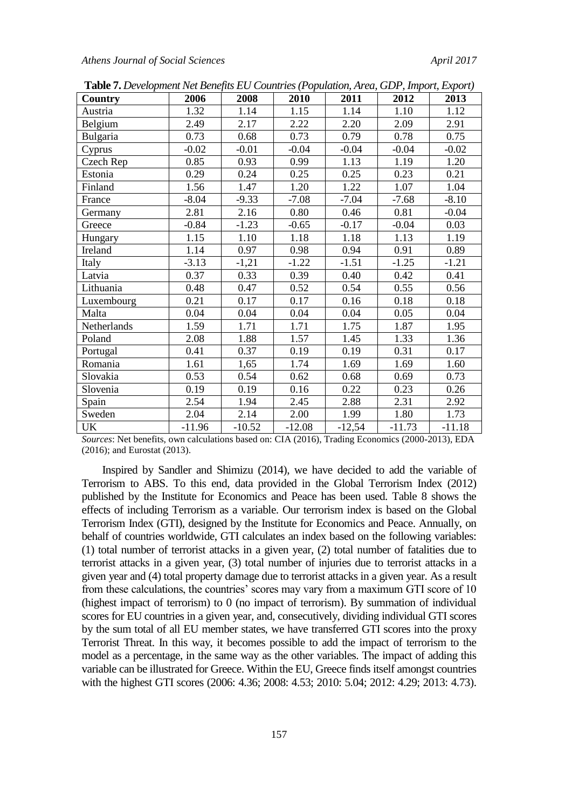*Athens Journal of Social Sciences April 2017*

| Country     | 2006     | 2008     | 2010     | 2011     | 2012     | 2013     |
|-------------|----------|----------|----------|----------|----------|----------|
| Austria     | 1.32     | 1.14     | 1.15     | 1.14     | 1.10     | 1.12     |
| Belgium     | 2.49     | 2.17     | 2.22     | 2.20     | 2.09     | 2.91     |
| Bulgaria    | 0.73     | 0.68     | 0.73     | 0.79     | 0.78     | 0.75     |
| Cyprus      | $-0.02$  | $-0.01$  | $-0.04$  | $-0.04$  | $-0.04$  | $-0.02$  |
| Czech Rep   | 0.85     | 0.93     | 0.99     | 1.13     | 1.19     | 1.20     |
| Estonia     | 0.29     | 0.24     | 0.25     | 0.25     | 0.23     | 0.21     |
| Finland     | 1.56     | 1.47     | 1.20     | 1.22     | 1.07     | 1.04     |
| France      | $-8.04$  | $-9.33$  | $-7.08$  | $-7.04$  | $-7.68$  | $-8.10$  |
| Germany     | 2.81     | 2.16     | 0.80     | 0.46     | 0.81     | $-0.04$  |
| Greece      | $-0.84$  | $-1.23$  | $-0.65$  | $-0.17$  | $-0.04$  | 0.03     |
| Hungary     | 1.15     | 1.10     | 1.18     | 1.18     | 1.13     | 1.19     |
| Ireland     | 1.14     | 0.97     | 0.98     | 0.94     | 0.91     | 0.89     |
| Italy       | $-3.13$  | $-1,21$  | $-1.22$  | $-1.51$  | $-1.25$  | $-1.21$  |
| Latvia      | 0.37     | 0.33     | 0.39     | 0.40     | 0.42     | 0.41     |
| Lithuania   | 0.48     | 0.47     | 0.52     | 0.54     | 0.55     | 0.56     |
| Luxembourg  | 0.21     | 0.17     | 0.17     | 0.16     | 0.18     | 0.18     |
| Malta       | 0.04     | 0.04     | 0.04     | 0.04     | 0.05     | 0.04     |
| Netherlands | 1.59     | 1.71     | 1.71     | 1.75     | 1.87     | 1.95     |
| Poland      | 2.08     | 1.88     | 1.57     | 1.45     | 1.33     | 1.36     |
| Portugal    | 0.41     | 0.37     | 0.19     | 0.19     | 0.31     | 0.17     |
| Romania     | 1.61     | 1,65     | 1.74     | 1.69     | 1.69     | 1.60     |
| Slovakia    | 0.53     | 0.54     | 0.62     | 0.68     | 0.69     | 0.73     |
| Slovenia    | 0.19     | 0.19     | 0.16     | 0.22     | 0.23     | 0.26     |
| Spain       | 2.54     | 1.94     | 2.45     | 2.88     | 2.31     | 2.92     |
| Sweden      | 2.04     | 2.14     | 2.00     | 1.99     | 1.80     | 1.73     |
| UK          | $-11.96$ | $-10.52$ | $-12.08$ | $-12,54$ | $-11.73$ | $-11.18$ |

**Table 7.** *Development Net Benefits EU Countries (Population, Area, GDP, Import, Export)*

*Sources*: Net benefits, own calculations based on: CIA (2016), Trading Economics (2000-2013), EDA (2016); and Eurostat (2013).

Inspired by Sandler and Shimizu (2014), we have decided to add the variable of Terrorism to ABS. To this end, data provided in the Global Terrorism Index (2012) published by the Institute for Economics and Peace has been used. Table 8 shows the effects of including Terrorism as a variable. Our terrorism index is based on the Global Terrorism Index (GTI), designed by the Institute for Economics and Peace. Annually, on behalf of countries worldwide, GTI calculates an index based on the following variables: (1) total number of terrorist attacks in a given year, (2) total number of fatalities due to terrorist attacks in a given year, (3) total number of injuries due to terrorist attacks in a given year and (4) total property damage due to terrorist attacks in a given year. As a result from these calculations, the countries' scores may vary from a maximum GTI score of 10 (highest impact of terrorism) to 0 (no impact of terrorism). By summation of individual scores for EU countries in a given year, and, consecutively, dividing individual GTI scores by the sum total of all EU member states, we have transferred GTI scores into the proxy Terrorist Threat. In this way, it becomes possible to add the impact of terrorism to the model as a percentage, in the same way as the other variables. The impact of adding this variable can be illustrated for Greece. Within the EU, Greece finds itself amongst countries with the highest GTI scores (2006: 4.36; 2008: 4.53; 2010: 5.04; 2012: 4.29; 2013: 4.73).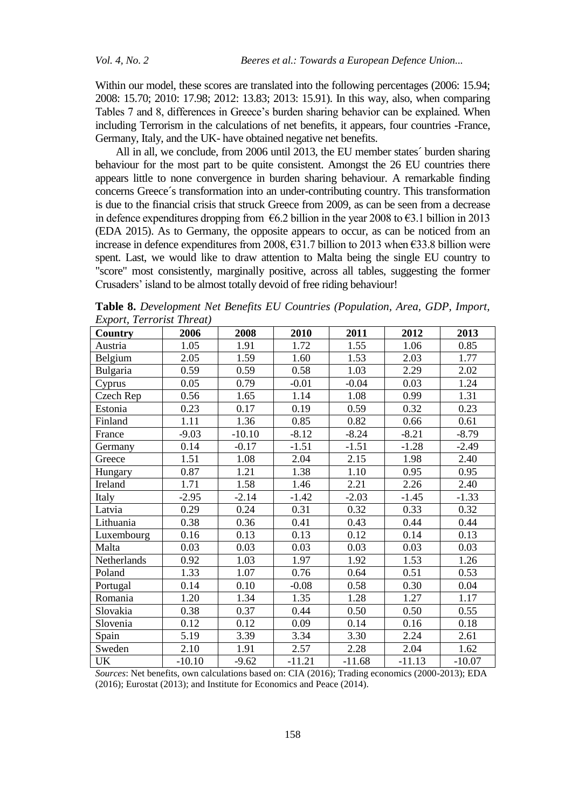Within our model, these scores are translated into the following percentages (2006: 15.94; 2008: 15.70; 2010: 17.98; 2012: 13.83; 2013: 15.91). In this way, also, when comparing Tables 7 and 8, differences in Greece's burden sharing behavior can be explained. When including Terrorism in the calculations of net benefits, it appears, four countries -France, Germany, Italy, and the UK- have obtained negative net benefits.

All in all, we conclude, from 2006 until 2013, the EU member states´ burden sharing behaviour for the most part to be quite consistent. Amongst the 26 EU countries there appears little to none convergence in burden sharing behaviour. A remarkable finding concerns Greece´s transformation into an under-contributing country. This transformation is due to the financial crisis that struck Greece from 2009, as can be seen from a decrease in defence expenditures dropping from  $\epsilon$ 6.2 billion in the year 2008 to  $\epsilon$ 3.1 billion in 2013 (EDA 2015). As to Germany, the opposite appears to occur, as can be noticed from an increase in defence expenditures from 2008, €31.7 billion to 2013 when €33.8 billion were spent. Last, we would like to draw attention to Malta being the single EU country to "score" most consistently, marginally positive, across all tables, suggesting the former Crusaders' island to be almost totally devoid of free riding behaviour!

| $E_{\nu}$ , $E_{\nu}$ , $E_{\nu}$ , $E_{\nu}$<br><b>Country</b> | 2006     | 2008     | 2010     | 2011     | 2012     | 2013     |
|-----------------------------------------------------------------|----------|----------|----------|----------|----------|----------|
| Austria                                                         | 1.05     | 1.91     | 1.72     | 1.55     | 1.06     | 0.85     |
| Belgium                                                         | 2.05     | 1.59     | 1.60     | 1.53     | 2.03     | 1.77     |
| Bulgaria                                                        | 0.59     | 0.59     | 0.58     | 1.03     | 2.29     | 2.02     |
| Cyprus                                                          | 0.05     | 0.79     | $-0.01$  | $-0.04$  | 0.03     | 1.24     |
| Czech Rep                                                       | 0.56     | 1.65     | 1.14     | 1.08     | 0.99     | 1.31     |
| Estonia                                                         | 0.23     | 0.17     | 0.19     | 0.59     | 0.32     | 0.23     |
| Finland                                                         | 1.11     | 1.36     | 0.85     | 0.82     | 0.66     | 0.61     |
| France                                                          | $-9.03$  | $-10.10$ | $-8.12$  | $-8.24$  | $-8.21$  | $-8.79$  |
| Germany                                                         | 0.14     | $-0.17$  | $-1.51$  | $-1.51$  | $-1.28$  | $-2.49$  |
| Greece                                                          | 1.51     | 1.08     | 2.04     | 2.15     | 1.98     | 2.40     |
| Hungary                                                         | 0.87     | 1.21     | 1.38     | 1.10     | 0.95     | 0.95     |
| Ireland                                                         | 1.71     | 1.58     | 1.46     | 2.21     | 2.26     | 2.40     |
| Italy                                                           | $-2.95$  | $-2.14$  | $-1.42$  | $-2.03$  | $-1.45$  | $-1.33$  |
| Latvia                                                          | 0.29     | 0.24     | 0.31     | 0.32     | 0.33     | 0.32     |
| Lithuania                                                       | 0.38     | 0.36     | 0.41     | 0.43     | 0.44     | 0.44     |
| Luxembourg                                                      | 0.16     | 0.13     | 0.13     | 0.12     | 0.14     | 0.13     |
| Malta                                                           | 0.03     | 0.03     | 0.03     | 0.03     | 0.03     | 0.03     |
| Netherlands                                                     | 0.92     | 1.03     | 1.97     | 1.92     | 1.53     | 1.26     |
| Poland                                                          | 1.33     | 1.07     | 0.76     | 0.64     | 0.51     | 0.53     |
| Portugal                                                        | 0.14     | 0.10     | $-0.08$  | 0.58     | 0.30     | 0.04     |
| Romania                                                         | 1.20     | 1.34     | 1.35     | 1.28     | 1.27     | 1.17     |
| Slovakia                                                        | 0.38     | 0.37     | 0.44     | 0.50     | 0.50     | 0.55     |
| Slovenia                                                        | 0.12     | 0.12     | 0.09     | 0.14     | 0.16     | 0.18     |
| Spain                                                           | 5.19     | 3.39     | 3.34     | 3.30     | 2.24     | 2.61     |
| Sweden                                                          | 2.10     | 1.91     | 2.57     | 2.28     | 2.04     | 1.62     |
| UK                                                              | $-10.10$ | $-9.62$  | $-11.21$ | $-11.68$ | $-11.13$ | $-10.07$ |

**Table 8.** *Development Net Benefits EU Countries (Population, Area, GDP, Import, Export, Terrorist Threat)*

*Sources*: Net benefits, own calculations based on: CIA (2016); Trading economics (2000-2013); EDA (2016); Eurostat (2013); and Institute for Economics and Peace (2014).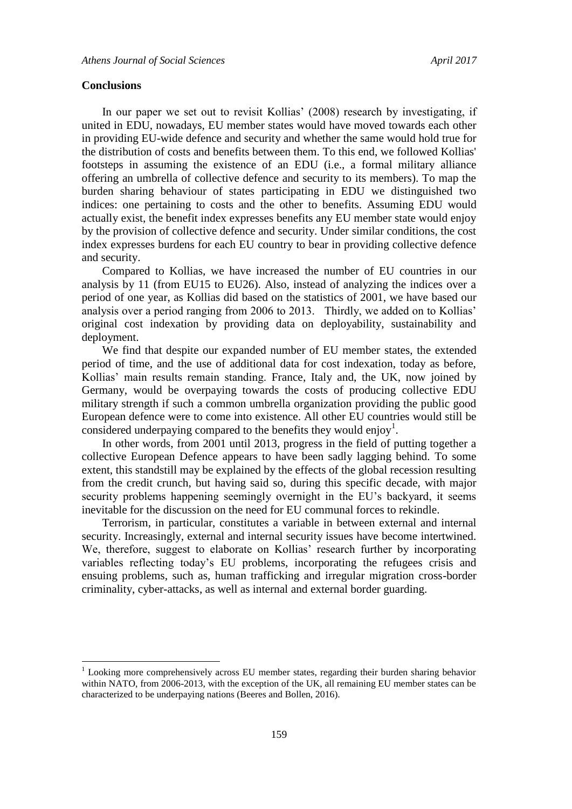#### **Conclusions**

1

In our paper we set out to revisit Kollias' (2008) research by investigating, if united in EDU, nowadays, EU member states would have moved towards each other in providing EU-wide defence and security and whether the same would hold true for the distribution of costs and benefits between them. To this end, we followed Kollias' footsteps in assuming the existence of an EDU (i.e., a formal military alliance offering an umbrella of collective defence and security to its members). To map the burden sharing behaviour of states participating in EDU we distinguished two indices: one pertaining to costs and the other to benefits. Assuming EDU would actually exist, the benefit index expresses benefits any EU member state would enjoy by the provision of collective defence and security. Under similar conditions, the cost index expresses burdens for each EU country to bear in providing collective defence and security.

Compared to Kollias, we have increased the number of EU countries in our analysis by 11 (from EU15 to EU26). Also, instead of analyzing the indices over a period of one year, as Kollias did based on the statistics of 2001, we have based our analysis over a period ranging from 2006 to 2013. Thirdly, we added on to Kollias' original cost indexation by providing data on deployability, sustainability and deployment.

We find that despite our expanded number of EU member states, the extended period of time, and the use of additional data for cost indexation, today as before, Kollias' main results remain standing. France, Italy and, the UK, now joined by Germany, would be overpaying towards the costs of producing collective EDU military strength if such a common umbrella organization providing the public good European defence were to come into existence. All other EU countries would still be considered underpaying compared to the benefits they would enjoy<sup>1</sup>.

In other words, from 2001 until 2013, progress in the field of putting together a collective European Defence appears to have been sadly lagging behind. To some extent, this standstill may be explained by the effects of the global recession resulting from the credit crunch, but having said so, during this specific decade, with major security problems happening seemingly overnight in the EU's backyard, it seems inevitable for the discussion on the need for EU communal forces to rekindle.

Terrorism, in particular, constitutes a variable in between external and internal security. Increasingly, external and internal security issues have become intertwined. We, therefore, suggest to elaborate on Kollias' research further by incorporating variables reflecting today's EU problems, incorporating the refugees crisis and ensuing problems, such as, human trafficking and irregular migration cross-border criminality, cyber-attacks, as well as internal and external border guarding.

 $1$  Looking more comprehensively across EU member states, regarding their burden sharing behavior within NATO, from 2006-2013, with the exception of the UK, all remaining EU member states can be characterized to be underpaying nations (Beeres and Bollen, 2016).